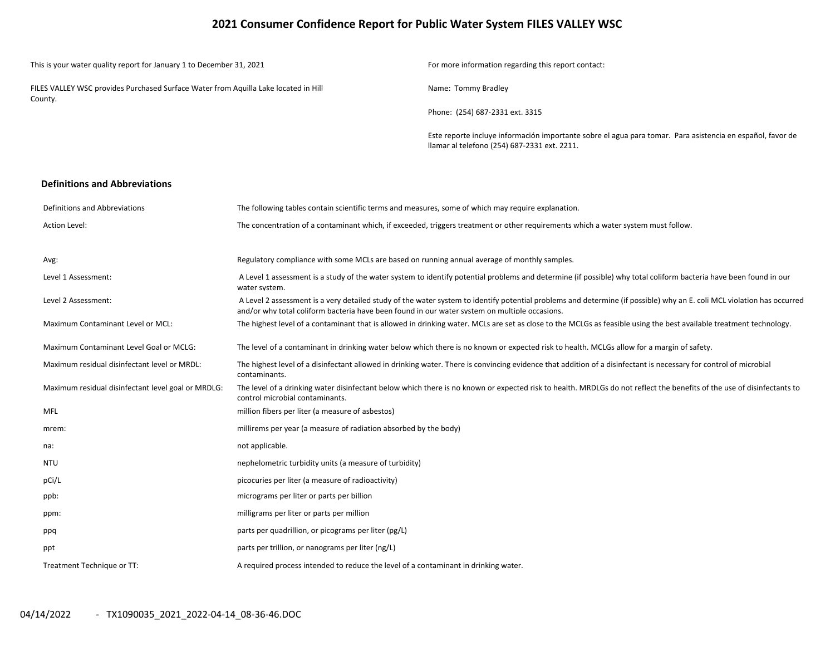## **2021 Consumer Confidence Report for Public Water System FILES VALLEY WSC**

| This is your water quality report for January 1 to December 31, 2021                           | For more information regarding this report contact:                                                                                                        |
|------------------------------------------------------------------------------------------------|------------------------------------------------------------------------------------------------------------------------------------------------------------|
| FILES VALLEY WSC provides Purchased Surface Water from Aquilla Lake located in Hill<br>County. | Name: Tommy Bradley                                                                                                                                        |
|                                                                                                | Phone: (254) 687-2331 ext. 3315                                                                                                                            |
|                                                                                                | Este reporte incluye información importante sobre el agua para tomar. Para asistencia en español, favor de<br>Ilamar al telefono (254) 687-2331 ext. 2211. |
| <b>Definitions and Abbreviations</b>                                                           |                                                                                                                                                            |

| Definitions and Abbreviations                      | The following tables contain scientific terms and measures, some of which may require explanation.                                                                                                                                                                      |
|----------------------------------------------------|-------------------------------------------------------------------------------------------------------------------------------------------------------------------------------------------------------------------------------------------------------------------------|
| Action Level:                                      | The concentration of a contaminant which, if exceeded, triggers treatment or other requirements which a water system must follow.                                                                                                                                       |
|                                                    |                                                                                                                                                                                                                                                                         |
| Avg:                                               | Regulatory compliance with some MCLs are based on running annual average of monthly samples.                                                                                                                                                                            |
| Level 1 Assessment:                                | A Level 1 assessment is a study of the water system to identify potential problems and determine (if possible) why total coliform bacteria have been found in our<br>water system.                                                                                      |
| Level 2 Assessment:                                | A Level 2 assessment is a very detailed study of the water system to identify potential problems and determine (if possible) why an E. coli MCL violation has occurred<br>and/or why total coliform bacteria have been found in our water system on multiple occasions. |
| <b>Maximum Contaminant Level or MCL:</b>           | The highest level of a contaminant that is allowed in drinking water. MCLs are set as close to the MCLGs as feasible using the best available treatment technology.                                                                                                     |
| Maximum Contaminant Level Goal or MCLG:            | The level of a contaminant in drinking water below which there is no known or expected risk to health. MCLGs allow for a margin of safety.                                                                                                                              |
| Maximum residual disinfectant level or MRDL:       | The highest level of a disinfectant allowed in drinking water. There is convincing evidence that addition of a disinfectant is necessary for control of microbial<br>contaminants.                                                                                      |
| Maximum residual disinfectant level goal or MRDLG: | The level of a drinking water disinfectant below which there is no known or expected risk to health. MRDLGs do not reflect the benefits of the use of disinfectants to<br>control microbial contaminants.                                                               |
| <b>MFL</b>                                         | million fibers per liter (a measure of asbestos)                                                                                                                                                                                                                        |
| mrem:                                              | millirems per year (a measure of radiation absorbed by the body)                                                                                                                                                                                                        |
| na:                                                | not applicable.                                                                                                                                                                                                                                                         |
| <b>NTU</b>                                         | nephelometric turbidity units (a measure of turbidity)                                                                                                                                                                                                                  |
| pCi/L                                              | picocuries per liter (a measure of radioactivity)                                                                                                                                                                                                                       |
| ppb:                                               | micrograms per liter or parts per billion                                                                                                                                                                                                                               |
| ppm:                                               | milligrams per liter or parts per million                                                                                                                                                                                                                               |
| ppq                                                | parts per quadrillion, or picograms per liter (pg/L)                                                                                                                                                                                                                    |
| ppt                                                | parts per trillion, or nanograms per liter (ng/L)                                                                                                                                                                                                                       |
| Treatment Technique or TT:                         | A required process intended to reduce the level of a contaminant in drinking water.                                                                                                                                                                                     |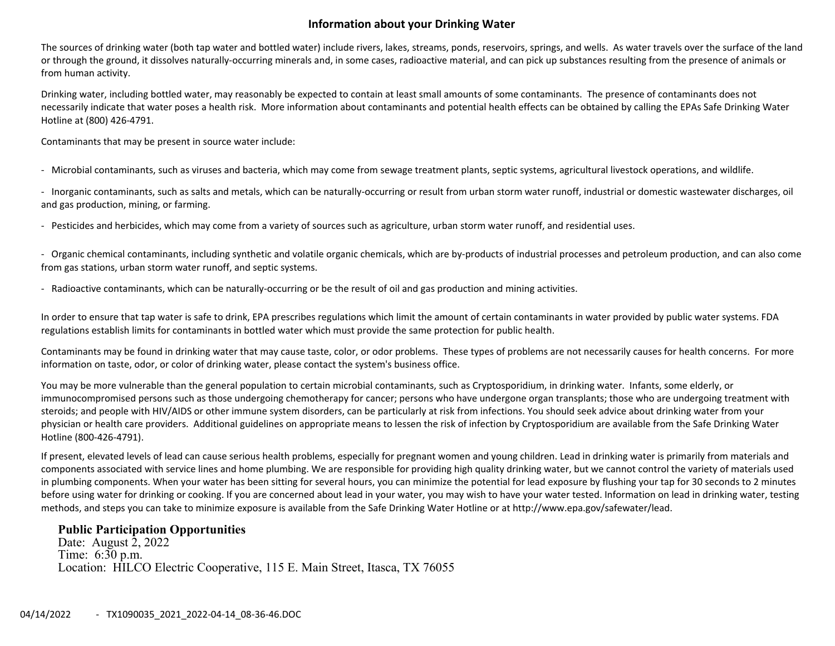## **Information about your Drinking Water**

The sources of drinking water (both tap water and bottled water) include rivers, lakes, streams, ponds, reservoirs, springs, and wells. As water travels over the surface of the land or through the ground, it dissolves naturally‐occurring minerals and, in some cases, radioactive material, and can pick up substances resulting from the presence of animals or from human activity.

Drinking water, including bottled water, may reasonably be expected to contain at least small amounts of some contaminants. The presence of contaminants does not necessarily indicate that water poses <sup>a</sup> health risk. More information about contaminants and potential health effects can be obtained by calling the EPAs Safe Drinking Water Hotline at (800) 426‐4791.

Contaminants that may be present in source water include:

‐ Microbial contaminants, such as viruses and bacteria, which may come from sewage treatment plants, septic systems, agricultural livestock operations, and wildlife.

‐ Inorganic contaminants, such as salts and metals, which can be naturally‐occurring or result from urban storm water runoff, industrial or domestic wastewater discharges, oil and gas production, mining, or farming.

‐ Pesticides and herbicides, which may come from <sup>a</sup> variety of sources such as agriculture, urban storm water runoff, and residential uses.

‐ Organic chemical contaminants, including synthetic and volatile organic chemicals, which are by‐products of industrial processes and petroleum production, and can also come from gas stations, urban storm water runoff, and septic systems.

‐ Radioactive contaminants, which can be naturally‐occurring or be the result of oil and gas production and mining activities.

In order to ensure that tap water is safe to drink, EPA prescribes regulations which limit the amount of certain contaminants in water provided by public water systems. FDA regulations establish limits for contaminants in bottled water which must provide the same protection for public health.

Contaminants may be found in drinking water that may cause taste, color, or odor problems. These types of problems are not necessarily causes for health concerns. For more information on taste, odor, or color of drinking water, please contact the system's business office.

You may be more vulnerable than the general population to certain microbial contaminants, such as Cryptosporidium, in drinking water. Infants, some elderly, or immunocompromised persons such as those undergoing chemotherapy for cancer; persons who have undergone organ transplants; those who are undergoing treatment with steroids; and people with HIV/AIDS or other immune system disorders, can be particularly at risk from infections. You should seek advice about drinking water from your physician or health care providers. Additional guidelines on appropriate means to lessen the risk of infection by Cryptosporidium are available from the Safe Drinking Water Hotline (800‐426‐4791).

If present, elevated levels of lead can cause serious health problems, especially for pregnant women and young children. Lead in drinking water is primarily from materials and components associated with service lines and home plumbing. We are responsible for providing high quality drinking water, but we cannot control the variety of materials used in plumbing components. When your water has been sitting for several hours, you can minimize the potential for lead exposure by flushing your tap for 30 seconds to 2 minutes before using water for drinking or cooking. If you are concerned about lead in your water, you may wish to have your water tested. Information on lead in drinking water, testing methods, and steps you can take to minimize exposure is available from the Safe Drinking Water Hotline or at http://www.epa.gov/safewater/lead.

### **Public Participation Opportunities**

Date: August  $2, 2022$  Time: 6:30 p.m. Location: HILCO Electric Cooperative, 115 E. Main Street, Itasca, TX 76055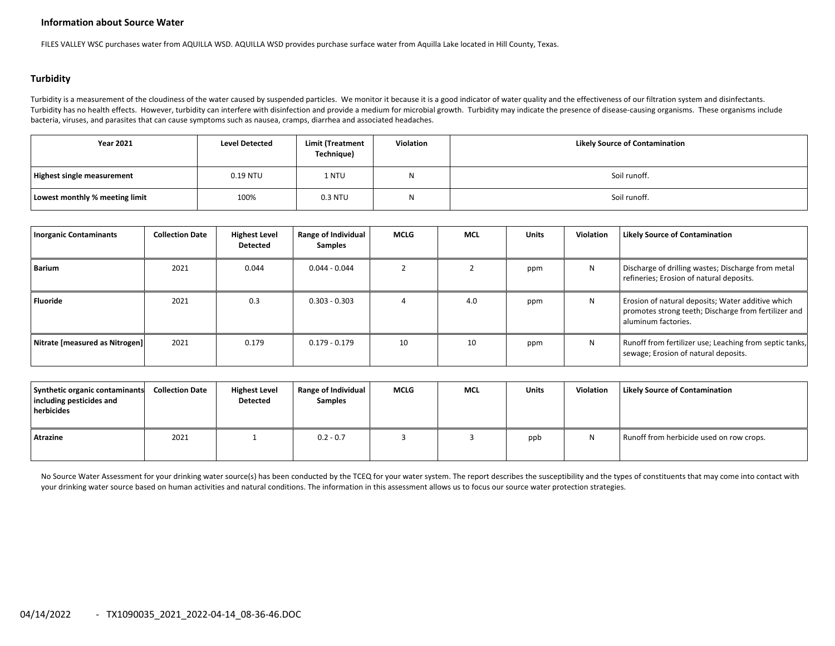#### **Information about Source Water**

FILES VALLEY WSC purchases water from AQUILLA WSD. AQUILLA WSD provides purchase surface water from Aquilla Lake located in Hill County, Texas.

#### **Turbidity**

Turbidity is a measurement of the cloudiness of the water caused by suspended particles. We monitor it because it is a good indicator of water quality and the effectiveness of our filtration system and disinfectants. Turbidity has no health effects. However, turbidity can interfere with disinfection and provide a medium for microbial growth. Turbidity may indicate the presence of disease-causing organisms. These organisms include bacteria, viruses, and parasites that can cause symptoms such as nausea, cramps, diarrhea and associated headaches.

| <b>Year 2021</b>               | <b>Level Detected</b> | <b>Limit (Treatment</b><br>Technique) | Violation | <b>Likely Source of Contamination</b> |
|--------------------------------|-----------------------|---------------------------------------|-----------|---------------------------------------|
| Highest single measurement     | $0.19$ NTU            | 1 NTU                                 | W         | Soil runoff.                          |
| Lowest monthly % meeting limit | 100%                  | 0.3 NTU                               | W         | Soil runoff.                          |

| <b>Inorganic Contaminants</b>  | <b>Collection Date</b> | <b>Highest Level</b><br><b>Detected</b> | Range of Individual<br><b>Samples</b> | <b>MCLG</b> | <b>MCL</b> | <b>Units</b> | <b>Violation</b> | <b>Likely Source of Contamination</b>                                                                                            |
|--------------------------------|------------------------|-----------------------------------------|---------------------------------------|-------------|------------|--------------|------------------|----------------------------------------------------------------------------------------------------------------------------------|
| Barium                         | 2021                   | 0.044                                   | $0.044 - 0.044$                       |             |            | ppm          | N                | Discharge of drilling wastes; Discharge from metal<br>refineries; Erosion of natural deposits.                                   |
| <b>Fluoride</b>                | 2021                   | 0.3                                     | $0.303 - 0.303$                       |             | 4.0        | ppm          | N                | Erosion of natural deposits; Water additive which<br>promotes strong teeth; Discharge from fertilizer and<br>aluminum factories. |
| Nitrate [measured as Nitrogen] | 2021                   | 0.179                                   | $0.179 - 0.179$                       | 10          | 10         | ppm          | N                | Runoff from fertilizer use; Leaching from septic tanks,<br>sewage; Erosion of natural deposits.                                  |

| Synthetic organic contaminants<br>including pesticides and<br>herbicides | <b>Collection Date</b> | <b>Highest Level</b><br>Detected | Range of Individual<br><b>Samples</b> | <b>MCLG</b> | <b>MCL</b> | <b>Units</b> | <b>Violation</b> | <b>Likely Source of Contamination</b>    |
|--------------------------------------------------------------------------|------------------------|----------------------------------|---------------------------------------|-------------|------------|--------------|------------------|------------------------------------------|
| Atrazine                                                                 | 2021                   |                                  | $0.2 - 0.7$                           |             |            | ppb          |                  | Runoff from herbicide used on row crops. |

No Source Water Assessment for your drinking water source(s) has been conducted by the TCEQ for your water system. The report describes the susceptibility and the types of constituents that may come into contact with your drinking water source based on human activities and natural conditions. The information in this assessment allows us to focus our source water protection strategies.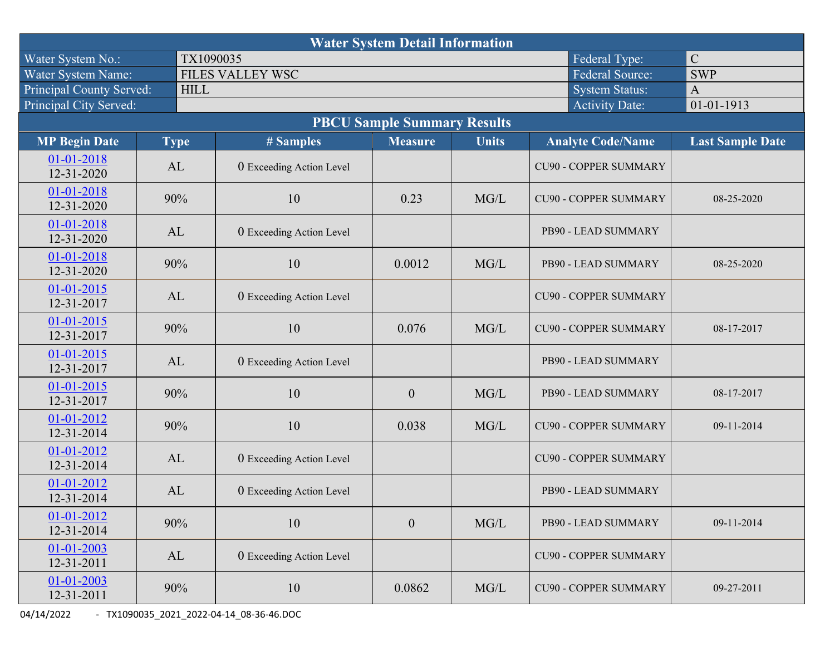| <b>Water System Detail Information</b> |                       |                                 |                  |              |                              |                         |  |  |  |  |  |
|----------------------------------------|-----------------------|---------------------------------|------------------|--------------|------------------------------|-------------------------|--|--|--|--|--|
| Water System No.:                      | TX1090035             |                                 |                  |              | Federal Type:                | $\mathbf C$             |  |  |  |  |  |
| Water System Name:                     |                       | FILES VALLEY WSC                |                  |              | <b>Federal Source:</b>       | <b>SWP</b>              |  |  |  |  |  |
| Principal County Served:               | <b>HILL</b>           | <b>System Status:</b>           |                  |              |                              |                         |  |  |  |  |  |
| Principal City Served:                 | <b>Activity Date:</b> |                                 |                  |              |                              |                         |  |  |  |  |  |
| <b>PBCU Sample Summary Results</b>     |                       |                                 |                  |              |                              |                         |  |  |  |  |  |
| <b>MP Begin Date</b>                   | <b>Type</b>           | # Samples                       | <b>Measure</b>   | <b>Units</b> | <b>Analyte Code/Name</b>     | <b>Last Sample Date</b> |  |  |  |  |  |
| $01 - 01 - 2018$<br>12-31-2020         | AL                    | 0 Exceeding Action Level        |                  |              | <b>CU90 - COPPER SUMMARY</b> |                         |  |  |  |  |  |
| 01-01-2018<br>12-31-2020               | 90%                   | 10                              | 0.23             | MG/L         | <b>CU90 - COPPER SUMMARY</b> | 08-25-2020              |  |  |  |  |  |
| 01-01-2018<br>12-31-2020               | AL                    | 0 Exceeding Action Level        |                  |              | PB90 - LEAD SUMMARY          |                         |  |  |  |  |  |
| 01-01-2018<br>12-31-2020               | 90%                   | 10                              | 0.0012           | MG/L         | PB90 - LEAD SUMMARY          | 08-25-2020              |  |  |  |  |  |
| $01 - 01 - 2015$<br>12-31-2017         | AL                    | 0 Exceeding Action Level        |                  |              | <b>CU90 - COPPER SUMMARY</b> |                         |  |  |  |  |  |
| $01 - 01 - 2015$<br>12-31-2017         | 90%                   | 10                              | 0.076            | MG/L         | <b>CU90 - COPPER SUMMARY</b> | 08-17-2017              |  |  |  |  |  |
| 01-01-2015<br>12-31-2017               | AL                    | 0 Exceeding Action Level        |                  |              | PB90 - LEAD SUMMARY          |                         |  |  |  |  |  |
| $01 - 01 - 2015$<br>12-31-2017         | 90%                   | 10                              | $\mathbf{0}$     | MG/L         | PB90 - LEAD SUMMARY          | 08-17-2017              |  |  |  |  |  |
| 01-01-2012<br>12-31-2014               | 90%                   | 10                              | 0.038            | MG/L         | <b>CU90 - COPPER SUMMARY</b> | 09-11-2014              |  |  |  |  |  |
| $01 - 01 - 2012$<br>12-31-2014         | AL                    | 0 Exceeding Action Level        |                  |              | <b>CU90 - COPPER SUMMARY</b> |                         |  |  |  |  |  |
| 01-01-2012<br>12-31-2014               | AL                    | 0 Exceeding Action Level        |                  |              | PB90 - LEAD SUMMARY          |                         |  |  |  |  |  |
| 01-01-2012<br>12-31-2014               | 90%                   | 10                              | $\boldsymbol{0}$ | MG/L         | PB90 - LEAD SUMMARY          | 09-11-2014              |  |  |  |  |  |
| $01 - 01 - 2003$<br>12-31-2011         | AL                    | <b>0</b> Exceeding Action Level |                  |              | <b>CU90 - COPPER SUMMARY</b> |                         |  |  |  |  |  |
| 01-01-2003<br>12-31-2011               | 90%                   | 10                              | 0.0862           | MG/L         | <b>CU90 - COPPER SUMMARY</b> | 09-27-2011              |  |  |  |  |  |

04/14/2022 ‐ TX1090035\_2021\_2022‐04‐14\_08‐36‐46.DOC